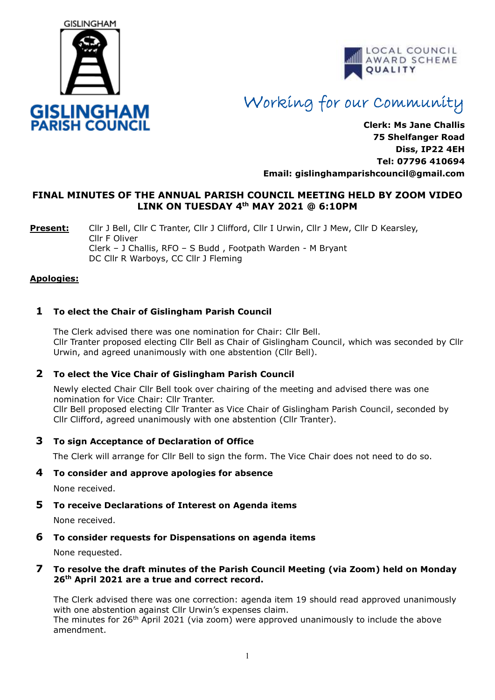



# Working for our Community

**Clerk: Ms Jane Challis 75 Shelfanger Road Diss, IP22 4EH Tel: 07796 410694 Email: [gislinghamparishcouncil@gmail.com](mailto:gislinghamparishcouncil@gmail.com)**

# **FINAL MINUTES OF THE ANNUAL PARISH COUNCIL MEETING HELD BY ZOOM VIDEO LINK ON TUESDAY 4th MAY 2021 @ 6:10PM**

**Present:** Cllr J Bell, Cllr C Tranter, Cllr J Clifford, Cllr I Urwin, Cllr J Mew, Cllr D Kearsley, Cllr F Oliver Clerk – J Challis, RFO – S Budd , Footpath Warden - M Bryant DC Cllr R Warboys, CC Cllr J Fleming

## **Apologies:**

# **1 To elect the Chair of Gislingham Parish Council**

 The Clerk advised there was one nomination for Chair: Cllr Bell. Cllr Tranter proposed electing Cllr Bell as Chair of Gislingham Council, which was seconded by Cllr Urwin, and agreed unanimously with one abstention (Cllr Bell).

## **2 To elect the Vice Chair of Gislingham Parish Council**

 Newly elected Chair Cllr Bell took over chairing of the meeting and advised there was one nomination for Vice Chair: Cllr Tranter. Cllr Bell proposed electing Cllr Tranter as Vice Chair of Gislingham Parish Council, seconded by Cllr Clifford, agreed unanimously with one abstention (Cllr Tranter).

## **3 To sign Acceptance of Declaration of Office**

The Clerk will arrange for Cllr Bell to sign the form. The Vice Chair does not need to do so.

#### **4 To consider and approve apologies for absence**

None received.

#### **5 To receive Declarations of Interest on Agenda items**

None received.

#### **6 To consider requests for Dispensations on agenda items**

None requested.

#### **7 To resolve the draft minutes of the Parish Council Meeting (via Zoom) held on Monday 26th April 2021 are a true and correct record.**

The Clerk advised there was one correction: agenda item 19 should read approved unanimously with one abstention against Cllr Urwin's expenses claim. The minutes for 26<sup>th</sup> April 2021 (via zoom) were approved unanimously to include the above amendment.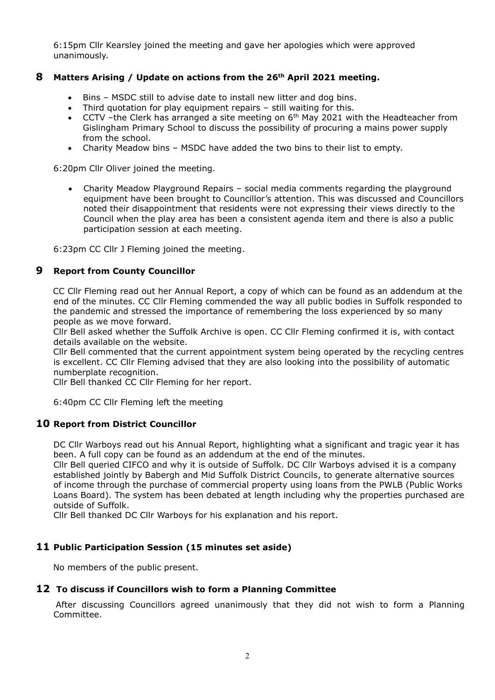6:15pm Cllr Kearsley joined the meeting and gave her apologies which were approved unanimously.

## **8 Matters Arising / Update on actions from the 26th April 2021 meeting.**

- Bins MSDC still to advise date to install new litter and dog bins.
- Third quotation for play equipment repairs still waiting for this.
- CCTV –the Clerk has arranged a site meeting on  $6<sup>th</sup>$  May 2021 with the Headteacher from Gislingham Primary School to discuss the possibility of procuring a mains power supply from the school.
- Charity Meadow bins MSDC have added the two bins to their list to empty.

6:20pm Cllr Oliver joined the meeting.

• Charity Meadow Playground Repairs – social media comments regarding the playground equipment have been brought to Councillor's attention. This was discussed and Councillors noted their disappointment that residents were not expressing their views directly to the Council when the play area has been a consistent agenda item and there is also a public participation session at each meeting.

6:23pm CC Cllr J Fleming joined the meeting.

#### **9 Report from County Councillor**

CC Cllr Fleming read out her Annual Report, a copy of which can be found as an addendum at the end of the minutes. CC Cllr Fleming commended the way all public bodies in Suffolk responded to the pandemic and stressed the importance of remembering the loss experienced by so many people as we move forward.

 Cllr Bell asked whether the Suffolk Archive is open. CC Cllr Fleming confirmed it is, with contact details available on the website.

 Cllr Bell commented that the current appointment system being operated by the recycling centres is excellent. CC Cllr Fleming advised that they are also looking into the possibility of automatic numberplate recognition.

Cllr Bell thanked CC Cllr Fleming for her report.

6:40pm CC Cllr Fleming left the meeting

## **10 Report from District Councillor**

DC Cllr Warboys read out his Annual Report, highlighting what a significant and tragic year it has been. A full copy can be found as an addendum at the end of the minutes.

Cllr Bell queried CIFCO and why it is outside of Suffolk. DC Cllr Warboys advised it is a company established jointly by Babergh and Mid Suffolk District Councils, to generate alternative sources of income through the purchase of commercial property using loans from the PWLB (Public Works Loans Board). The system has been debated at length including why the properties purchased are outside of Suffolk.

Cllr Bell thanked DC Cllr Warboys for his explanation and his report.

## **11 Public Participation Session (15 minutes set aside)**

No members of the public present.

#### **12 To discuss if Councillors wish to form a Planning Committee**

After discussing Councillors agreed unanimously that they did not wish to form a Planning Committee.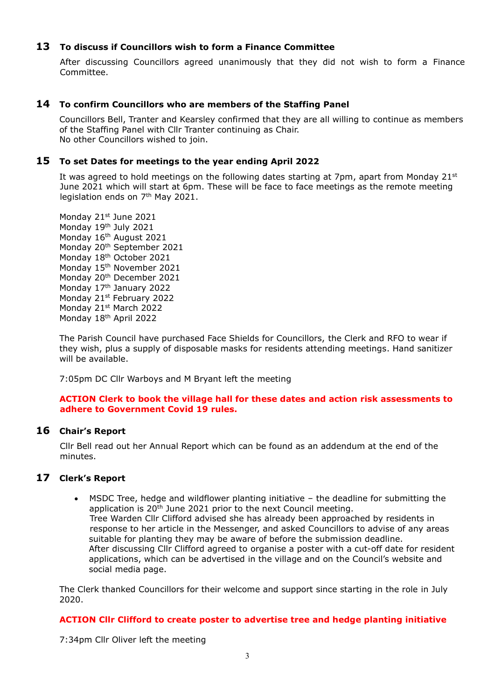## **13 To discuss if Councillors wish to form a Finance Committee**

After discussing Councillors agreed unanimously that they did not wish to form a Finance Committee.

## **14 To confirm Councillors who are members of the Staffing Panel**

Councillors Bell, Tranter and Kearsley confirmed that they are all willing to continue as members of the Staffing Panel with Cllr Tranter continuing as Chair. No other Councillors wished to join.

## **15 To set Dates for meetings to the year ending April 2022**

It was agreed to hold meetings on the following dates starting at 7pm, apart from Monday 21st June 2021 which will start at 6pm. These will be face to face meetings as the remote meeting legislation ends on 7<sup>th</sup> May 2021.

Mondav 21st June 2021 Monday 19th July 2021 Monday 16<sup>th</sup> August 2021 Monday 20<sup>th</sup> September 2021 Monday 18<sup>th</sup> October 2021 Monday 15<sup>th</sup> November 2021 Monday 20th December 2021 Monday 17<sup>th</sup> January 2022 Monday 21st February 2022 Monday 21st March 2022 Monday 18th April 2022

The Parish Council have purchased Face Shields for Councillors, the Clerk and RFO to wear if they wish, plus a supply of disposable masks for residents attending meetings. Hand sanitizer will be available.

7:05pm DC Cllr Warboys and M Bryant left the meeting

#### **ACTION Clerk to book the village hall for these dates and action risk assessments to adhere to Government Covid 19 rules.**

## **16 Chair's Report**

Cllr Bell read out her Annual Report which can be found as an addendum at the end of the minutes.

## **17 Clerk's Report**

• MSDC Tree, hedge and wildflower planting initiative – the deadline for submitting the application is  $20<sup>th</sup>$  June 2021 prior to the next Council meeting. Tree Warden Cllr Clifford advised she has already been approached by residents in response to her article in the Messenger, and asked Councillors to advise of any areas suitable for planting they may be aware of before the submission deadline. After discussing Cllr Clifford agreed to organise a poster with a cut-off date for resident applications, which can be advertised in the village and on the Council's website and social media page.

The Clerk thanked Councillors for their welcome and support since starting in the role in July 2020.

## **ACTION Cllr Clifford to create poster to advertise tree and hedge planting initiative**

7:34pm Cllr Oliver left the meeting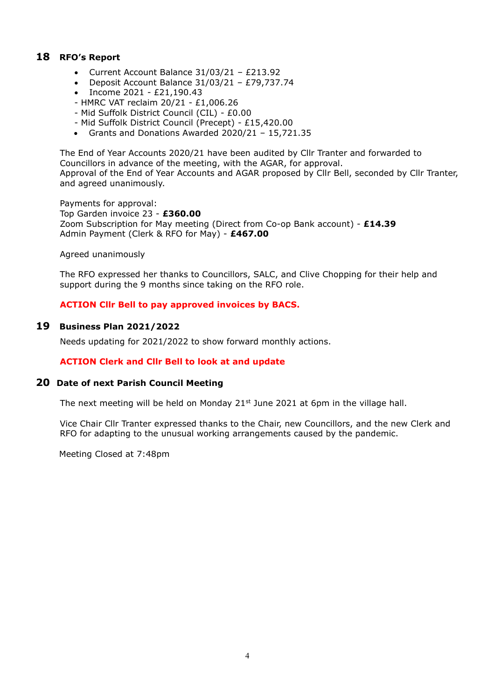# **18 RFO's Report**

- Current Account Balance 31/03/21 £213.92
- Deposit Account Balance 31/03/21 £79,737.74
- Income 2021 £21,190.43
- HMRC VAT reclaim 20/21 £1,006.26
- Mid Suffolk District Council (CIL) £0.00
- Mid Suffolk District Council (Precept) £15,420.00
- Grants and Donations Awarded 2020/21 15,721.35

The End of Year Accounts 2020/21 have been audited by Cllr Tranter and forwarded to Councillors in advance of the meeting, with the AGAR, for approval. Approval of the End of Year Accounts and AGAR proposed by Cllr Bell, seconded by Cllr Tranter, and agreed unanimously.

Payments for approval: Top Garden invoice 23 - **£360.00** Zoom Subscription for May meeting (Direct from Co-op Bank account) - **£14.39** Admin Payment (Clerk & RFO for May) - **£467.00**

Agreed unanimously

The RFO expressed her thanks to Councillors, SALC, and Clive Chopping for their help and support during the 9 months since taking on the RFO role.

#### **ACTION Cllr Bell to pay approved invoices by BACS.**

#### **19 Business Plan 2021/2022**

Needs updating for 2021/2022 to show forward monthly actions.

#### **ACTION Clerk and Cllr Bell to look at and update**

#### **20 Date of next Parish Council Meeting**

The next meeting will be held on Monday  $21<sup>st</sup>$  June 2021 at 6pm in the village hall.

Vice Chair Cllr Tranter expressed thanks to the Chair, new Councillors, and the new Clerk and RFO for adapting to the unusual working arrangements caused by the pandemic.

Meeting Closed at 7:48pm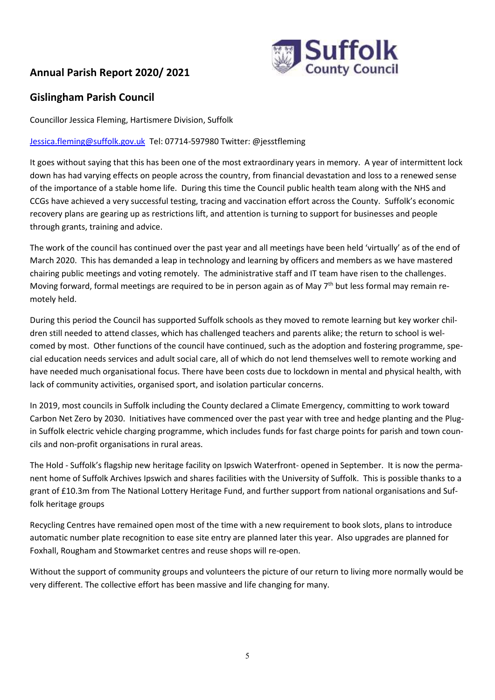# **Annual Parish Report 2020/ 2021**



# **Gislingham Parish Council**

Councillor Jessica Fleming, Hartismere Division, Suffolk

## [Jessica.fleming@suffolk.gov.uk](mailto:Jessica.fleming@suffolk.gov.uk) Tel: 07714-597980 Twitter: @jesstfleming

It goes without saying that this has been one of the most extraordinary years in memory. A year of intermittent lock down has had varying effects on people across the country, from financial devastation and loss to a renewed sense of the importance of a stable home life. During this time the Council public health team along with the NHS and CCGs have achieved a very successful testing, tracing and vaccination effort across the County. Suffolk's economic recovery plans are gearing up as restrictions lift, and attention is turning to support for businesses and people through grants, training and advice.

The work of the council has continued over the past year and all meetings have been held 'virtually' as of the end of March 2020. This has demanded a leap in technology and learning by officers and members as we have mastered chairing public meetings and voting remotely. The administrative staff and IT team have risen to the challenges. Moving forward, formal meetings are required to be in person again as of May 7<sup>th</sup> but less formal may remain remotely held.

During this period the Council has supported Suffolk schools as they moved to remote learning but key worker children still needed to attend classes, which has challenged teachers and parents alike; the return to school is welcomed by most. Other functions of the council have continued, such as the adoption and fostering programme, special education needs services and adult social care, all of which do not lend themselves well to remote working and have needed much organisational focus. There have been costs due to lockdown in mental and physical health, with lack of community activities, organised sport, and isolation particular concerns.

In 2019, most councils in Suffolk including the County declared a Climate Emergency, committing to work toward Carbon Net Zero by 2030. Initiatives have commenced over the past year with tree and hedge planting and the Plugin Suffolk electric vehicle charging programme, which includes funds for fast charge points for parish and town councils and non-profit organisations in rural areas.

The Hold - Suffolk's flagship new heritage facility on Ipswich Waterfront- opened in September. It is now the permanent home of Suffolk Archives Ipswich and shares facilities with the University of Suffolk. This is possible thanks to a grant of £10.3m from The National Lottery Heritage Fund, and further support from national organisations and Suffolk heritage groups

Recycling Centres have remained open most of the time with a new requirement to book slots, plans to introduce automatic number plate recognition to ease site entry are planned later this year. Also upgrades are planned for Foxhall, Rougham and Stowmarket centres and reuse shops will re-open.

Without the support of community groups and volunteers the picture of our return to living more normally would be very different. The collective effort has been massive and life changing for many.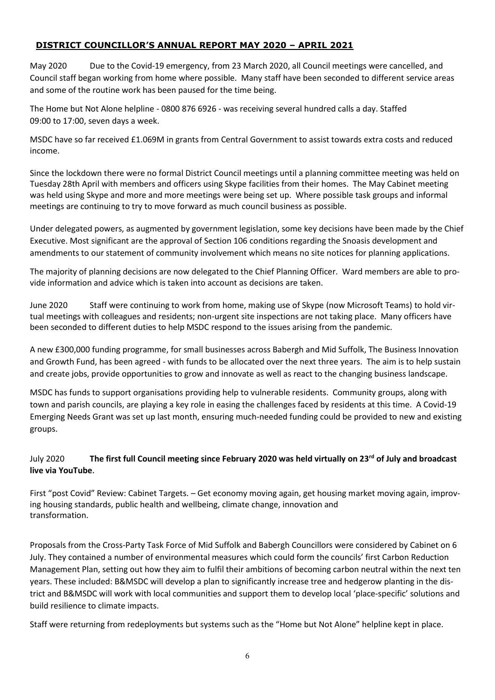# **DISTRICT COUNCILLOR'S ANNUAL REPORT MAY 2020 – APRIL 2021**

May 2020 Due to the Covid-19 emergency, from 23 March 2020, all Council meetings were cancelled, and Council staff began working from home where possible. Many staff have been seconded to different service areas and some of the routine work has been paused for the time being.

The Home but Not Alone helpline - 0800 876 6926 - was receiving several hundred calls a day. Staffed 09:00 to 17:00, seven days a week.

MSDC have so far received £1.069M in grants from Central Government to assist towards extra costs and reduced income.

Since the lockdown there were no formal District Council meetings until a planning committee meeting was held on Tuesday 28th April with members and officers using Skype facilities from their homes. The May Cabinet meeting was held using Skype and more and more meetings were being set up. Where possible task groups and informal meetings are continuing to try to move forward as much council business as possible.

Under delegated powers, as augmented by government legislation, some key decisions have been made by the Chief Executive. Most significant are the approval of Section 106 conditions regarding the Snoasis development and amendments to our statement of community involvement which means no site notices for planning applications.

The majority of planning decisions are now delegated to the Chief Planning Officer. Ward members are able to provide information and advice which is taken into account as decisions are taken.

June 2020 Staff were continuing to work from home, making use of Skype (now Microsoft Teams) to hold virtual meetings with colleagues and residents; non-urgent site inspections are not taking place. Many officers have been seconded to different duties to help MSDC respond to the issues arising from the pandemic.

A new £300,000 funding programme, for small businesses across Babergh and Mid Suffolk, The Business Innovation and Growth Fund, has been agreed - with funds to be allocated over the next three years. The aim is to help sustain and create jobs, provide opportunities to grow and innovate as well as react to the changing business landscape.

MSDC has funds to support organisations providing help to vulnerable residents. Community groups, along with town and parish councils, are playing a key role in easing the challenges faced by residents at this time. A Covid-19 Emerging Needs Grant was set up last month, ensuring much-needed funding could be provided to new and existing groups.

# July 2020 **The first full Council meeting since February 2020 was held virtually on 23rd of July and broadcast live via YouTube**.

First "post Covid" Review: Cabinet Targets. – Get economy moving again, get housing market moving again, improving housing standards, public health and wellbeing, climate change, innovation and transformation.

Proposals from the Cross-Party Task Force of Mid Suffolk and Babergh Councillors were considered by Cabinet on 6 July. They contained a number of environmental measures which could form the councils' first Carbon Reduction Management Plan, setting out how they aim to fulfil their ambitions of becoming carbon neutral within the next ten years. These included: B&MSDC will develop a plan to significantly increase tree and hedgerow planting in the district and B&MSDC will work with local communities and support them to develop local 'place-specific' solutions and build resilience to climate impacts.

Staff were returning from redeployments but systems such as the "Home but Not Alone" helpline kept in place.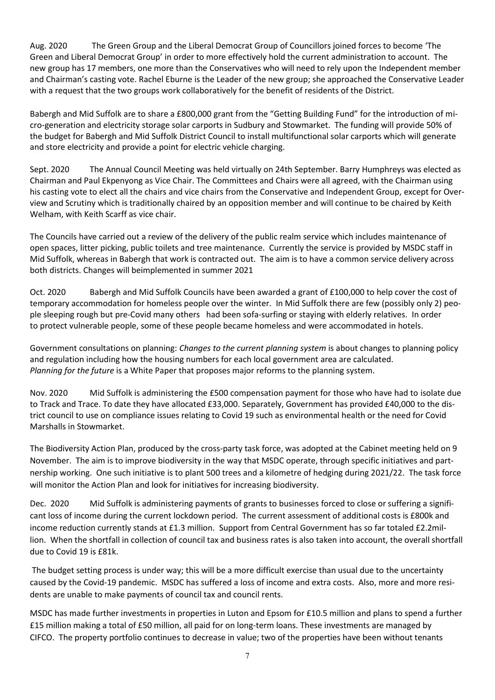Aug. 2020 The Green Group and the Liberal Democrat Group of Councillors joined forces to become 'The Green and Liberal Democrat Group' in order to more effectively hold the current administration to account. The new group has 17 members, one more than the Conservatives who will need to rely upon the Independent member and Chairman's casting vote. Rachel Eburne is the Leader of the new group; she approached the Conservative Leader with a request that the two groups work collaboratively for the benefit of residents of the District.

Babergh and Mid Suffolk are to share a £800,000 grant from the "Getting Building Fund" for the introduction of micro-generation and electricity storage solar carports in Sudbury and Stowmarket. The funding will provide 50% of the budget for Babergh and Mid Suffolk District Council to install multifunctional solar carports which will generate and store electricity and provide a point for electric vehicle charging.

Sept. 2020 The Annual Council Meeting was held virtually on 24th September. Barry Humphreys was elected as Chairman and Paul Ekpenyong as Vice Chair. The Committees and Chairs were all agreed, with the Chairman using his casting vote to elect all the chairs and vice chairs from the Conservative and Independent Group, except for Overview and Scrutiny which is traditionally chaired by an opposition member and will continue to be chaired by Keith Welham, with Keith Scarff as vice chair.

The Councils have carried out a review of the delivery of the public realm service which includes maintenance of open spaces, litter picking, public toilets and tree maintenance. Currently the service is provided by MSDC staff in Mid Suffolk, whereas in Babergh that work is contracted out. The aim is to have a common service delivery across both districts. Changes will beimplemented in summer 2021

Oct. 2020 Babergh and Mid Suffolk Councils have been awarded a grant of £100,000 to help cover the cost of temporary accommodation for homeless people over the winter. In Mid Suffolk there are few (possibly only 2) people sleeping rough but pre-Covid many others had been sofa-surfing or staying with elderly relatives. In order to protect vulnerable people, some of these people became homeless and were accommodated in hotels.

Government consultations on planning: *Changes to the current planning system* is about changes to planning policy and regulation including how the housing numbers for each local government area are calculated. *Planning for the future* is a White Paper that proposes major reforms to the planning system.

Nov. 2020 Mid Suffolk is administering the £500 compensation payment for those who have had to isolate due to Track and Trace. To date they have allocated £33,000. Separately, Government has provided £40,000 to the district council to use on compliance issues relating to Covid 19 such as environmental health or the need for Covid Marshalls in Stowmarket.

The Biodiversity Action Plan, produced by the cross-party task force, was adopted at the Cabinet meeting held on 9 November. The aim is to improve biodiversity in the way that MSDC operate, through specific initiatives and partnership working. One such initiative is to plant 500 trees and a kilometre of hedging during 2021/22. The task force will monitor the Action Plan and look for initiatives for increasing biodiversity.

Dec. 2020 Mid Suffolk is administering payments of grants to businesses forced to close or suffering a significant loss of income during the current lockdown period. The current assessment of additional costs is £800k and income reduction currently stands at £1.3 million. Support from Central Government has so far totaled £2.2million. When the shortfall in collection of council tax and business rates is also taken into account, the overall shortfall due to Covid 19 is £81k.

The budget setting process is under way; this will be a more difficult exercise than usual due to the uncertainty caused by the Covid-19 pandemic. MSDC has suffered a loss of income and extra costs. Also, more and more residents are unable to make payments of council tax and council rents.

MSDC has made further investments in properties in Luton and Epsom for £10.5 million and plans to spend a further £15 million making a total of £50 million, all paid for on long-term loans. These investments are managed by CIFCO. The property portfolio continues to decrease in value; two of the properties have been without tenants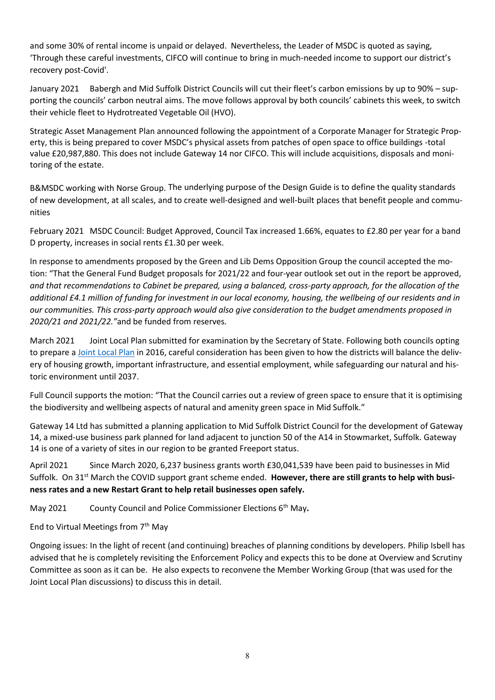and some 30% of rental income is unpaid or delayed. Nevertheless, the Leader of MSDC is quoted as saying, 'Through these careful investments, CIFCO will continue to bring in much-needed income to support our district's recovery post-Covid'.

January 2021 Babergh and Mid Suffolk District Councils will cut their fleet's carbon emissions by up to 90% – supporting the councils' carbon neutral aims. The move follows approval by both councils' cabinets this week, to switch their vehicle fleet to Hydrotreated Vegetable Oil (HVO).

Strategic Asset Management Plan announced following the appointment of a Corporate Manager for Strategic Property, this is being prepared to cover MSDC's physical assets from patches of open space to office buildings -total value £20,987,880. This does not include Gateway 14 nor CIFCO. This will include acquisitions, disposals and monitoring of the estate.

B&MSDC working with Norse Group. The underlying purpose of the Design Guide is to define the quality standards of new development, at all scales, and to create well-designed and well-built places that benefit people and communities

February 2021 MSDC Council: Budget Approved, Council Tax increased 1.66%, equates to £2.80 per year for a band D property, increases in social rents £1.30 per week.

In response to amendments proposed by the Green and Lib Dems Opposition Group the council accepted the motion: "That the General Fund Budget proposals for 2021/22 and four-year outlook set out in the report be approved, *and that recommendations to Cabinet be prepared, using a balanced, cross-party approach, for the allocation of the additional £4.1 million of funding for investment in our local economy, housing, the wellbeing of our residents and in our communities. This cross-party approach would also give consideration to the budget amendments proposed in 2020/21 and 2021/22."*and be funded from reserves*.*

March 2021 Joint Local Plan submitted for examination by the Secretary of State. Following both councils opting to prepare [a Joint Local Plan](https://www.babergh.gov.uk/planning/planning-policy/new-joint-local-plan/joint-local-plan-r19-pre-submission/) in 2016, careful consideration has been given to how the districts will balance the delivery of housing growth, important infrastructure, and essential employment, while safeguarding our natural and historic environment until 2037.

Full Council supports the motion: "That the Council carries out a review of green space to ensure that it is optimising the biodiversity and wellbeing aspects of natural and amenity green space in Mid Suffolk."

Gateway 14 Ltd has submitted a planning application to Mid Suffolk District Council for the development of Gateway 14, a mixed-use business park planned for land adjacent to junction 50 of the A14 in Stowmarket, Suffolk. Gateway 14 is one of a variety of sites in our region to be granted Freeport status.

April 2021 Since March 2020, 6,237 business grants worth £30,041,539 have been paid to businesses in Mid Suffolk. On 31<sup>st</sup> March the COVID support grant scheme ended. However, there are still grants to help with busi**ness rates and a new Restart Grant to help retail businesses open safely.**

May 2021 County Council and Police Commissioner Elections 6th May**.**

End to Virtual Meetings from 7<sup>th</sup> May

Ongoing issues: In the light of recent (and continuing) breaches of planning conditions by developers. Philip Isbell has advised that he is completely revisiting the Enforcement Policy and expects this to be done at Overview and Scrutiny Committee as soon as it can be. He also expects to reconvene the Member Working Group (that was used for the Joint Local Plan discussions) to discuss this in detail.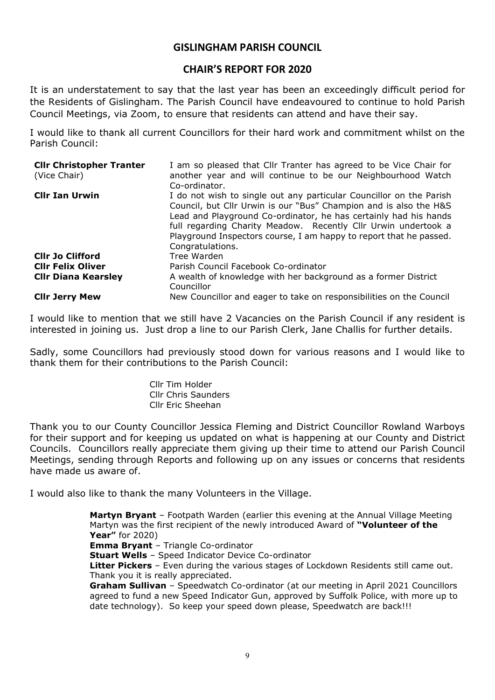# **GISLINGHAM PARISH COUNCIL**

# **CHAIR'S REPORT FOR 2020**

It is an understatement to say that the last year has been an exceedingly difficult period for the Residents of Gislingham. The Parish Council have endeavoured to continue to hold Parish Council Meetings, via Zoom, to ensure that residents can attend and have their say.

I would like to thank all current Councillors for their hard work and commitment whilst on the Parish Council:

| <b>Cllr Christopher Tranter</b><br>(Vice Chair) | I am so pleased that Cllr Tranter has agreed to be Vice Chair for<br>another year and will continue to be our Neighbourhood Watch<br>Co-ordinator.                                                                                                                                                                                                                       |
|-------------------------------------------------|--------------------------------------------------------------------------------------------------------------------------------------------------------------------------------------------------------------------------------------------------------------------------------------------------------------------------------------------------------------------------|
| <b>Clir Ian Urwin</b>                           | I do not wish to single out any particular Councillor on the Parish<br>Council, but Cllr Urwin is our "Bus" Champion and is also the H&S<br>Lead and Playground Co-ordinator, he has certainly had his hands<br>full regarding Charity Meadow. Recently Cllr Urwin undertook a<br>Playground Inspectors course, I am happy to report that he passed.<br>Congratulations. |
| <b>CIIr Jo Clifford</b>                         | Tree Warden                                                                                                                                                                                                                                                                                                                                                              |
| <b>Clir Felix Oliver</b>                        | Parish Council Facebook Co-ordinator                                                                                                                                                                                                                                                                                                                                     |
| <b>Cllr Diana Kearsley</b>                      | A wealth of knowledge with her background as a former District<br>Councillor                                                                                                                                                                                                                                                                                             |
| <b>Clir Jerry Mew</b>                           | New Councillor and eager to take on responsibilities on the Council                                                                                                                                                                                                                                                                                                      |

I would like to mention that we still have 2 Vacancies on the Parish Council if any resident is interested in joining us. Just drop a line to our Parish Clerk, Jane Challis for further details.

Sadly, some Councillors had previously stood down for various reasons and I would like to thank them for their contributions to the Parish Council:

> Cllr Tim Holder Cllr Chris Saunders Cllr Eric Sheehan

Thank you to our County Councillor Jessica Fleming and District Councillor Rowland Warboys for their support and for keeping us updated on what is happening at our County and District Councils. Councillors really appreciate them giving up their time to attend our Parish Council Meetings, sending through Reports and following up on any issues or concerns that residents have made us aware of.

I would also like to thank the many Volunteers in the Village.

**Martyn Bryant** – Footpath Warden (earlier this evening at the Annual Village Meeting Martyn was the first recipient of the newly introduced Award of **"Volunteer of the Year"** for 2020) **Emma Bryant** – Triangle Co-ordinator **Stuart Wells** – Speed Indicator Device Co-ordinator

**Litter Pickers** – Even during the various stages of Lockdown Residents still came out. Thank you it is really appreciated.

**Graham Sullivan** – Speedwatch Co-ordinator (at our meeting in April 2021 Councillors agreed to fund a new Speed Indicator Gun, approved by Suffolk Police, with more up to date technology). So keep your speed down please, Speedwatch are back!!!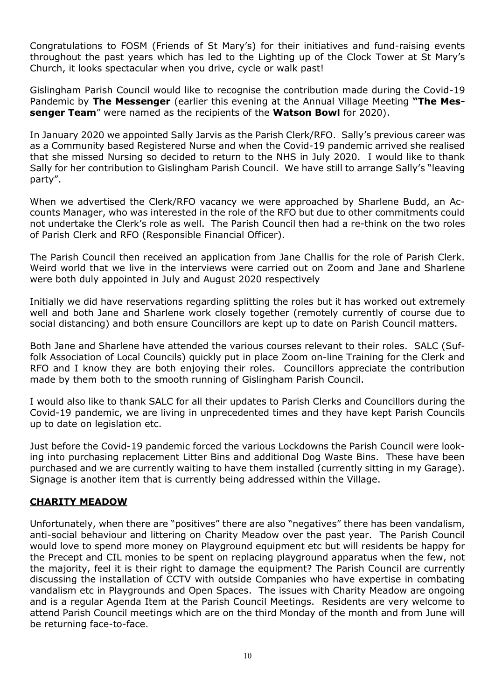Congratulations to FOSM (Friends of St Mary's) for their initiatives and fund-raising events throughout the past years which has led to the Lighting up of the Clock Tower at St Mary's Church, it looks spectacular when you drive, cycle or walk past!

Gislingham Parish Council would like to recognise the contribution made during the Covid-19 Pandemic by **The Messenger** (earlier this evening at the Annual Village Meeting **"The Messenger Team**" were named as the recipients of the **Watson Bowl** for 2020).

In January 2020 we appointed Sally Jarvis as the Parish Clerk/RFO. Sally's previous career was as a Community based Registered Nurse and when the Covid-19 pandemic arrived she realised that she missed Nursing so decided to return to the NHS in July 2020. I would like to thank Sally for her contribution to Gislingham Parish Council. We have still to arrange Sally's "leaving party".

When we advertised the Clerk/RFO vacancy we were approached by Sharlene Budd, an Accounts Manager, who was interested in the role of the RFO but due to other commitments could not undertake the Clerk's role as well. The Parish Council then had a re-think on the two roles of Parish Clerk and RFO (Responsible Financial Officer).

The Parish Council then received an application from Jane Challis for the role of Parish Clerk. Weird world that we live in the interviews were carried out on Zoom and Jane and Sharlene were both duly appointed in July and August 2020 respectively

Initially we did have reservations regarding splitting the roles but it has worked out extremely well and both Jane and Sharlene work closely together (remotely currently of course due to social distancing) and both ensure Councillors are kept up to date on Parish Council matters.

Both Jane and Sharlene have attended the various courses relevant to their roles. SALC (Suffolk Association of Local Councils) quickly put in place Zoom on-line Training for the Clerk and RFO and I know they are both enjoying their roles. Councillors appreciate the contribution made by them both to the smooth running of Gislingham Parish Council.

I would also like to thank SALC for all their updates to Parish Clerks and Councillors during the Covid-19 pandemic, we are living in unprecedented times and they have kept Parish Councils up to date on legislation etc.

Just before the Covid-19 pandemic forced the various Lockdowns the Parish Council were looking into purchasing replacement Litter Bins and additional Dog Waste Bins. These have been purchased and we are currently waiting to have them installed (currently sitting in my Garage). Signage is another item that is currently being addressed within the Village.

# **CHARITY MEADOW**

Unfortunately, when there are "positives" there are also "negatives" there has been vandalism, anti-social behaviour and littering on Charity Meadow over the past year. The Parish Council would love to spend more money on Playground equipment etc but will residents be happy for the Precept and CIL monies to be spent on replacing playground apparatus when the few, not the majority, feel it is their right to damage the equipment? The Parish Council are currently discussing the installation of CCTV with outside Companies who have expertise in combating vandalism etc in Playgrounds and Open Spaces. The issues with Charity Meadow are ongoing and is a regular Agenda Item at the Parish Council Meetings. Residents are very welcome to attend Parish Council meetings which are on the third Monday of the month and from June will be returning face-to-face.